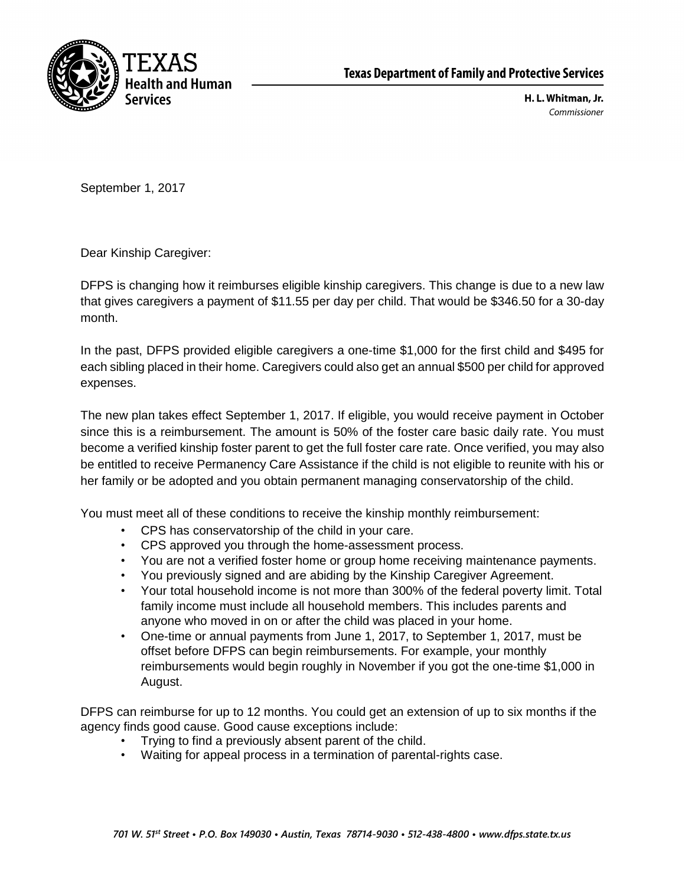

H. L. Whitman, Jr. Commissioner

September 1, 2017

Dear Kinship Caregiver:

DFPS is changing how it reimburses eligible kinship caregivers. This change is due to a new law that gives caregivers a payment of \$11.55 per day per child. That would be \$346.50 for a 30-day month.

In the past, DFPS provided eligible caregivers a one-time \$1,000 for the first child and \$495 for each sibling placed in their home. Caregivers could also get an annual \$500 per child for approved expenses.

The new plan takes effect September 1, 2017. If eligible, you would receive payment in October since this is a reimbursement. The amount is 50% of the foster care basic daily rate. You must become a verified kinship foster parent to get the full foster care rate. Once verified, you may also be entitled to receive Permanency Care Assistance if the child is not eligible to reunite with his or her family or be adopted and you obtain permanent managing conservatorship of the child.

You must meet all of these conditions to receive the kinship monthly reimbursement:

- CPS has conservatorship of the child in your care.
- CPS approved you through the home-assessment process.
- You are not a verified foster home or group home receiving maintenance payments.
- You previously signed and are abiding by the Kinship Caregiver Agreement.
- Your total household income is not more than 300% of the federal poverty limit. Total family income must include all household members. This includes parents and anyone who moved in on or after the child was placed in your home.
- One-time or annual payments from June 1, 2017, to September 1, 2017, must be offset before DFPS can begin reimbursements. For example, your monthly reimbursements would begin roughly in November if you got the one-time \$1,000 in August.

DFPS can reimburse for up to 12 months. You could get an extension of up to six months if the agency finds good cause. Good cause exceptions include:

- Trying to find a previously absent parent of the child.
- Waiting for appeal process in a termination of parental-rights case.